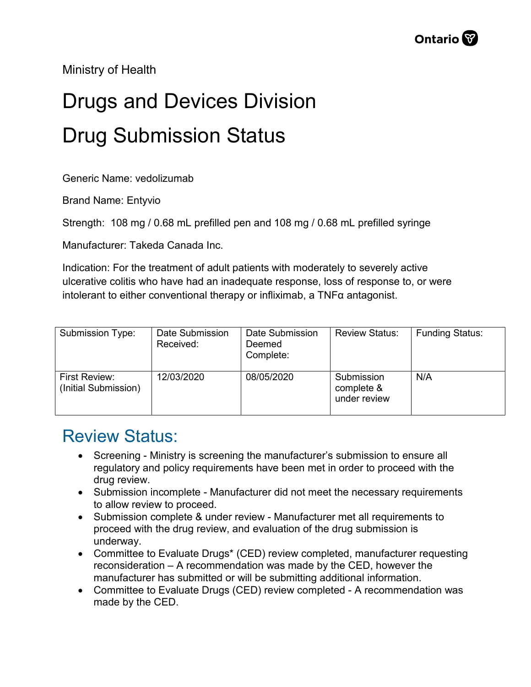Ministry of Health

## Drugs and Devices Division Drug Submission Status

Generic Name: vedolizumab

Brand Name: Entyvio

Strength: 108 mg / 0.68 mL prefilled pen and 108 mg / 0.68 mL prefilled syringe

Manufacturer: Takeda Canada Inc.

Indication: For the treatment of adult patients with moderately to severely active ulcerative colitis who have had an inadequate response, loss of response to, or were intolerant to either conventional therapy or infliximab, a  $TNF\alpha$  antagonist.

| Submission Type:                      | Date Submission<br>Received: | Date Submission<br>Deemed<br>Complete: | <b>Review Status:</b>                    | <b>Funding Status:</b> |
|---------------------------------------|------------------------------|----------------------------------------|------------------------------------------|------------------------|
| First Review:<br>(Initial Submission) | 12/03/2020                   | 08/05/2020                             | Submission<br>complete &<br>under review | N/A                    |

## Review Status:

- Screening Ministry is screening the manufacturer's submission to ensure all regulatory and policy requirements have been met in order to proceed with the drug review.
- Submission incomplete Manufacturer did not meet the necessary requirements to allow review to proceed.
- Submission complete & under review Manufacturer met all requirements to proceed with the drug review, and evaluation of the drug submission is underway.
- Committee to Evaluate Drugs\* (CED) review completed, manufacturer requesting reconsideration – A recommendation was made by the CED, however the manufacturer has submitted or will be submitting additional information.
- Committee to Evaluate Drugs (CED) review completed A recommendation was made by the CED.